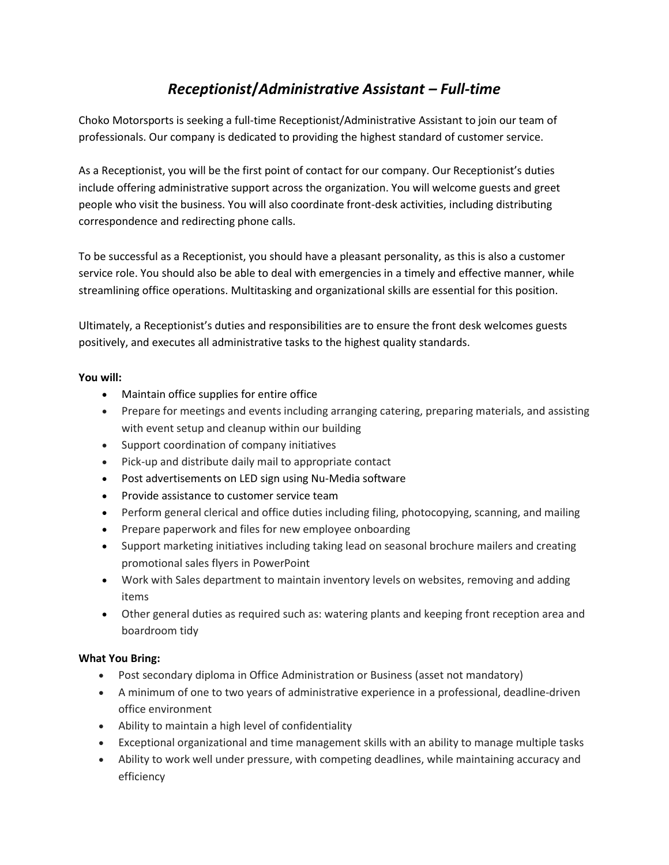## *Receptionist***/***Administrative Assistant – Full-time*

Choko Motorsports is seeking a full-time Receptionist/Administrative Assistant to join our team of professionals. Our company is dedicated to providing the highest standard of customer service.

As a Receptionist, you will be the first point of contact for our company. Our Receptionist's duties include offering administrative support across the organization. You will welcome guests and greet people who visit the business. You will also coordinate front-desk activities, including distributing correspondence and redirecting phone calls.

To be successful as a Receptionist, you should have a pleasant personality, as this is also a customer service role. You should also be able to deal with emergencies in a timely and effective manner, while streamlining office operations. Multitasking and organizational skills are essential for this position.

Ultimately, a Receptionist's duties and responsibilities are to ensure the front desk welcomes guests positively, and executes all administrative tasks to the highest quality standards.

## **You will:**

- Maintain office supplies for entire office
- Prepare for meetings and events including arranging catering, preparing materials, and assisting with event setup and cleanup within our building
- Support coordination of company initiatives
- Pick-up and distribute daily mail to appropriate contact
- Post advertisements on LED sign using Nu-Media software
- Provide assistance to customer service team
- Perform general clerical and office duties including filing, photocopying, scanning, and mailing
- Prepare paperwork and files for new employee onboarding
- Support marketing initiatives including taking lead on seasonal brochure mailers and creating promotional sales flyers in PowerPoint
- Work with Sales department to maintain inventory levels on websites, removing and adding items
- Other general duties as required such as: watering plants and keeping front reception area and boardroom tidy

## **What You Bring:**

- Post secondary diploma in Office Administration or Business (asset not mandatory)
- A minimum of one to two years of administrative experience in a professional, deadline-driven office environment
- Ability to maintain a high level of confidentiality
- Exceptional organizational and time management skills with an ability to manage multiple tasks
- Ability to work well under pressure, with competing deadlines, while maintaining accuracy and efficiency